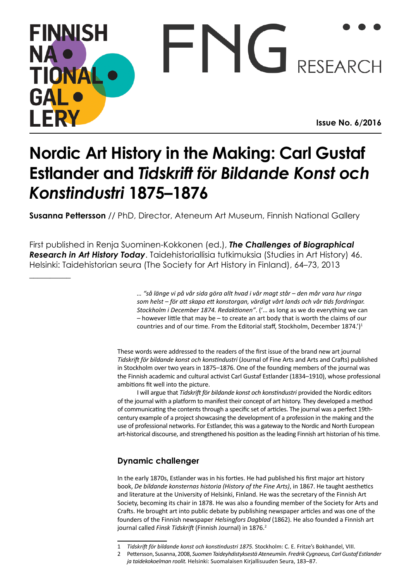## **FINNISH**  $\Gamma N$ NA RESEARCH **TIONA** GAI **FRY Issue No. 6/2016**

# **Nordic Art History in the Making: Carl Gustaf Estlander and** *Tidskrift för Bildande Konst och Konstindustri* **1875–1876**

**Susanna Pettersson** // PhD, Director, Ateneum Art Museum, Finnish National Gallery

First published in Renja Suominen-Kokkonen (ed.), *The Challenges of Biographical Research in Art History Today*. Taidehistoriallisia tutkimuksia (Studies in Art History) 46. Helsinki: Taidehistorian seura (The Society for Art History in Finland), 64–73, 2013

> *… "så länge vi på vår sida göra allt hvad i vår magt står – den mår vara hur ringa som helst – för att skapa ett konstorgan, värdigt vårt lands och vår tids fordringar. Stockholm i December 1874. Redaktionen"*. ('… as long as we do everything we can – however little that may be – to create an art body that is worth the claims of our countries and of our time. From the Editorial staff, Stockholm, December  $1874.'$ <sup>1</sup>

These words were addressed to the readers of the first issue of the brand new art journal *Tidskrift för bildande konst och konstindustri* (Journal of Fine Arts and Arts and Crafts) published in Stockholm over two years in 1875–1876. One of the founding members of the journal was the Finnish academic and cultural activist Carl Gustaf Estlander (1834–1910), whose professional ambitions fit well into the picture.

I will argue that *Tidskrift för bildande konst och konstindustri* provided the Nordic editors of the journal with a platform to manifest their concept of art history. They developed a method of communicating the contents through a specific set of articles. The journal was a perfect 19thcentury example of a project showcasing the development of a profession in the making and the use of professional networks. For Estlander, this was a gateway to the Nordic and North European art-historical discourse, and strengthened his position as the leading Finnish art historian of his time.

### **Dynamic challenger**

 $\overline{\phantom{a}}$ 

In the early 1870s, Estlander was in his forties. He had published his first major art history book, *De bildande konsternas historia (History of the Fine Arts)*, in 1867. He taught aesthetics and literature at the University of Helsinki, Finland. He was the secretary of the Finnish Art Society, becoming its chair in 1878. He was also a founding member of the Society for Arts and Crafts. He brought art into public debate by publishing newspaper articles and was one of the founders of the Finnish newspaper *Helsingfors Dagblad* (1862). He also founded a Finnish art journal called *Finsk Tidskrift* (Finnish Journal) in 1876.<sup>2</sup>

<sup>1</sup> *Tidskrift för bildande konst och konstindustri 1875.* Stockholm: C. E. Fritze's Bokhandel, VIII.

<sup>2</sup> Pettersson, Susanna, 2008, *Suomen Taideyhdistyksestä Ateneumiin. Fredrik Cygnaeus, Carl Gustaf Estlander ja taidekokoelman roolit.* Helsinki: Suomalaisen Kirjallisuuden Seura, 183–87.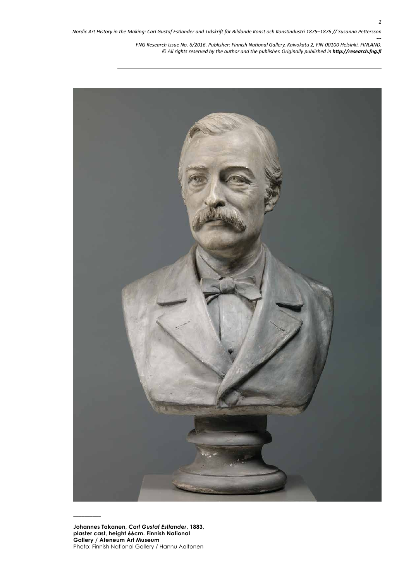

**Johannes Takanen,** *Carl Gustaf Estlander***, 1883, plaster cast, height 66cm. Finnish National Gallery / Ateneum Art Museum** Photo: Finnish National Gallery / Hannu Aaltonen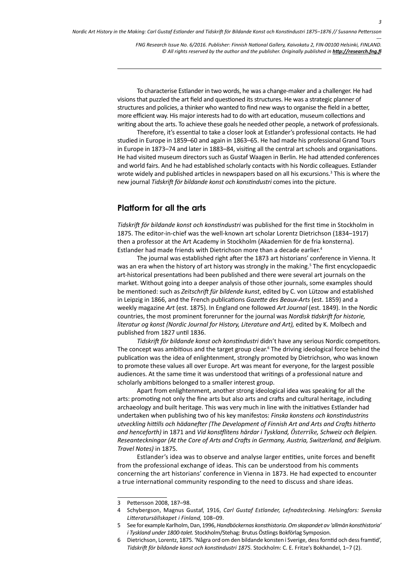To characterise Estlander in two words, he was a change-maker and a challenger. He had visions that puzzled the art field and questioned its structures. He was a strategic planner of structures and policies, a thinker who wanted to find new ways to organise the field in a better, more efficient way. His major interests had to do with art education, museum collections and writing about the arts. To achieve these goals he needed other people, a network of professionals.

Therefore, it's essential to take a closer look at Estlander's professional contacts. He had studied in Europe in 1859–60 and again in 1863–65. He had made his professional Grand Tours in Europe in 1873–74 and later in 1883–84, visiting all the central art schools and organisations. He had visited museum directors such as Gustaf Waagen in Berlin. He had attended conferences and world fairs. And he had established scholarly contacts with his Nordic colleagues. Estlander wrote widely and published articles in newspapers based on all his excursions.3 This is where the new journal *Tidskrift för bildande konst och konstindustri* comes into the picture.

#### **Platform for all the arts**

*Tidskrift för bildande konst och konstindustri* was published for the first time in Stockholm in 1875. The editor-in-chief was the well-known art scholar Lorentz Dietrichson (1834–1917) then a professor at the Art Academy in Stockholm (Akademien för de fria konsterna). Estlander had made friends with Dietrichson more than a decade earlier.4

The journal was established right after the 1873 art historians' conference in Vienna. It was an era when the history of art history was strongly in the making.<sup>5</sup> The first encyclopaedic art-historical presentations had been published and there were several art journals on the market. Without going into a deeper analysis of those other journals, some examples should be mentioned: such as *Zeitschrift für bildende kunst*, edited by C. von Lützow and established in Leipzig in 1866, and the French publications *Gazette des Beaux-Arts* (est. 1859) and a weekly magazine *Art* (est. 1875). In England one followed *Art Journal* (est. 1849). In the Nordic countries, the most prominent forerunner for the journal was *Nordisk tidskrift for historie, literatur og konst (Nordic Journal for History, Literature and Art),* edited by K. Molbech and published from 1827 until 1836.

*Tidskrift för bildande konst och konstindustri* didn't have any serious Nordic competitors. The concept was ambitious and the target group clear.<sup>6</sup> The driving ideological force behind the publication was the idea of enlightenment, strongly promoted by Dietrichson, who was known to promote these values all over Europe. Art was meant for everyone, for the largest possible audiences. At the same time it was understood that writings of a professional nature and scholarly ambitions belonged to a smaller interest group.

Apart from enlightenment, another strong ideological idea was speaking for all the arts: promoting not only the fine arts but also arts and crafts and cultural heritage, including archaeology and built heritage. This was very much in line with the initiatives Estlander had undertaken when publishing two of his key manifestos: *Finska konstens och konstindustrins utveckling hittills och hädanefter (The Development of Finnish Art and Arts and Crafts hitherto and henceforth)* in 1871 and *Vid konstflitens härdar i Tyskland, Österrike, Schweiz och Belgien. Reseanteckningar (At the Core of Arts and Crafts in Germany, Austria, Switzerland, and Belgium. Travel Notes)* in 1875.

Estlander's idea was to observe and analyse larger entities, unite forces and benefit from the professional exchange of ideas. This can be understood from his comments concerning the art historians' conference in Vienna in 1873. He had expected to encounter a true international community responding to the need to discuss and share ideas.

<sup>3</sup> Pettersson 2008, 187–98.

<sup>4</sup> Schybergson, Magnus Gustaf, 1916, *Carl Gustaf Estlander, Lefnadsteckning. Helsingfors: Svenska Litteratursällskapet i Finland,* 108–09.

<sup>5</sup> See for example Karlholm, Dan, 1996, *Handböckernas konsthistoria. Om skapandet av 'allmän konsthistoria' i Tyskland under 1800-talet.* Stockholm/Stehag: Brutus Östlings Bokförlag Symposion.

<sup>6</sup> Dietrichson, Lorentz, 1875. 'Några ord om den bildande konsten i Sverige, dess forntid och dess framtid', *Tidskrift för bildande konst och konstindustri 1875.* Stockholm: C. E. Fritze's Bokhandel, 1–7 (2).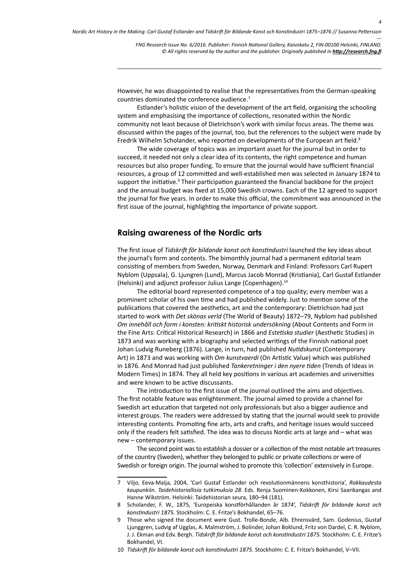However, he was disappointed to realise that the representatives from the German-speaking countries dominated the conference audience.7

Estlander's holistic vision of the development of the art field, organising the schooling system and emphasising the importance of collections, resonated within the Nordic community not least because of Dietrichson's work with similar focus areas. The theme was discussed within the pages of the journal, too, but the references to the subject were made by Fredrik Wilhelm Scholander, who reported on developments of the European art field.8

The wide coverage of topics was an important asset for the journal but in order to succeed, it needed not only a clear idea of its contents, the right competence and human resources but also proper funding. To ensure that the journal would have sufficient financial resources, a group of 12 committed and well-established men was selected in January 1874 to support the initiative.<sup>9</sup> Their participation guaranteed the financial backbone for the project and the annual budget was fixed at 15,000 Swedish crowns. Each of the 12 agreed to support the journal for five years. In order to make this official, the commitment was announced in the first issue of the journal, highlighting the importance of private support.

#### **Raising awareness of the Nordic arts**

The first issue of *Tidskrift för bildande konst och konstindustri* launched the key ideas about the journal's form and contents. The bimonthly journal had a permanent editorial team consisting of members from Sweden, Norway, Denmark and Finland: Professors Carl Rupert Nyblom (Uppsala), G. Ljungren (Lund), Marcus Jacob Monrad (Kristiania), Carl Gustaf Estlander (Helsinki) and adjunct professor Julius Lange (Copenhagen).10

The editorial board represented competence of a top quality; every member was a prominent scholar of his own time and had published widely. Just to mention some of the publications that covered the aesthetics, art and the contemporary: Dietrichson had just started to work with *Det skönas verld* (The World of Beauty) 1872–79, Nyblom had published *Om innehåll och form i konsten: kritiskt historisk undersökning* (About Contents and Form in the Fine Arts: Critical Historical Research) in 1866 and *Estetiska studier* (Aesthetic Studies) in 1873 and was working with a biography and selected writings of the Finnish national poet Johan Ludvig Runeberg (1876). Lange, in turn, had published *Nutidskunst* (Contemporary Art) in 1873 and was working with *Om kunstvaerdi* (On Artistic Value) which was published in 1876. And Monrad had just published *Tankeretninger i den nyere tiden* (Trends of Ideas in Modern Times) in 1874. They all held key positions in various art academies and universities and were known to be active discussants.

The introduction to the first issue of the journal outlined the aims and objectives. The first notable feature was enlightenment. The journal aimed to provide a channel for Swedish art education that targeted not only professionals but also a bigger audience and interest groups. The readers were addressed by stating that the journal would seek to provide interesting contents. Promoting fine arts, arts and crafts, and heritage issues would succeed only if the readers felt satisfied. The idea was to discuss Nordic arts at large and – what was new – contemporary issues.

The second point was to establish a dossier or a collection of the most notable art treasures of the country (Sweden), whether they belonged to public or private collections or were of Swedish or foreign origin. The journal wished to promote this 'collection' extensively in Europe.

<sup>7</sup> Viljo, Eeva-Maija, 2004, 'Carl Gustaf Estlander och revolutionmännens konsthistoria', *Rakkaudesta kaupunkiin. Taidehistoriallisia tutkimuksia 28.* Eds. Renja Suominen-Kokkonen, Kirsi Saarikangas and Hanne Wikström. Helsinki: Taidehistorian seura, 180–94 (181).

<sup>8</sup> Scholander, F. W., 1875, 'Europeiska konstförhållanden år 1874', *Tidskrift för bildande konst och konstindustri 1875.* Stockholm: C. E. Fritze's Bokhandel, 65–76.

<sup>9</sup> Those who signed the document were Gust. Trolle-Bonde, Alb. Ehrensvärd, Sam. Godenius, Gustaf Ljunggren, Ludvig af Ugglas, A. Malmström, J. Bolinder, Johan Boklund, Fritz von Dardel, C. R. Nyblom, J. J. Ekman and Edv. Bergh. *Tidskrift för bildande konst och konstindustri 1875.* Stockholm: C. E. Fritze's Bokhandel, VI.

<sup>10</sup> *Tidskrift för bildande konst och konstindustri 1875.* Stockholm: C. E. Fritze's Bokhandel, V–VII.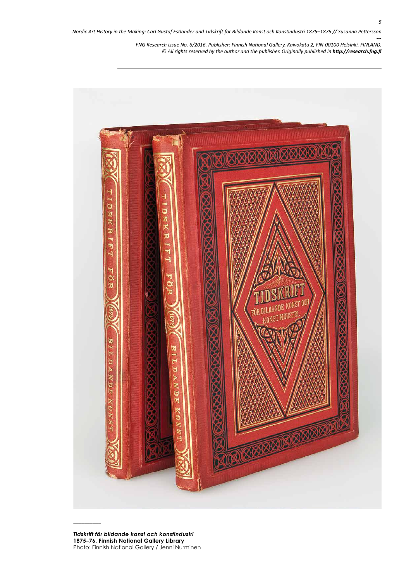

*Tidskrift för bildande konst och konstindustri*  **1875–76. Finnish National Gallery Library** Photo: Finnish National Gallery / Jenni Nurminen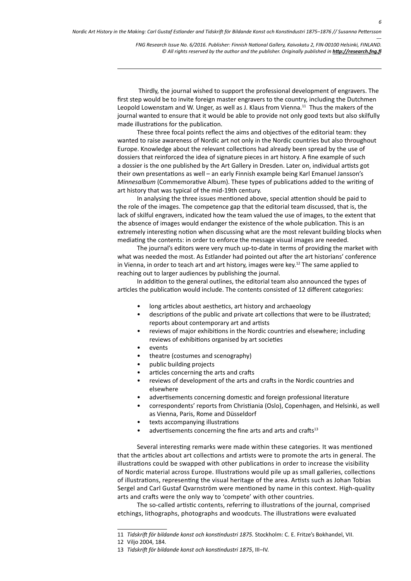Thirdly, the journal wished to support the professional development of engravers. The first step would be to invite foreign master engravers to the country, including the Dutchmen Leopold Lowenstam and W. Unger, as well as J. Klaus from Vienna.<sup>11</sup> Thus the makers of the journal wanted to ensure that it would be able to provide not only good texts but also skilfully made illustrations for the publication.

These three focal points reflect the aims and objectives of the editorial team: they wanted to raise awareness of Nordic art not only in the Nordic countries but also throughout Europe. Knowledge about the relevant collections had already been spread by the use of dossiers that reinforced the idea of signature pieces in art history. A fine example of such a dossier is the one published by the Art Gallery in Dresden. Later on, individual artists got their own presentations as well – an early Finnish example being Karl Emanuel Jansson's *Minnesalbum* (Commemorative Album). These types of publications added to the writing of art history that was typical of the mid-19th century.

In analysing the three issues mentioned above, special attention should be paid to the role of the images. The competence gap that the editorial team discussed, that is, the lack of skilful engravers, indicated how the team valued the use of images, to the extent that the absence of images would endanger the existence of the whole publication. This is an extremely interesting notion when discussing what are the most relevant building blocks when mediating the contents: in order to enforce the message visual images are needed.

The journal's editors were very much up-to-date in terms of providing the market with what was needed the most. As Estlander had pointed out after the art historians' conference in Vienna, in order to teach art and art history, images were key.<sup>12</sup> The same applied to reaching out to larger audiences by publishing the journal.

In addition to the general outlines, the editorial team also announced the types of articles the publication would include. The contents consisted of 12 different categories:

- long articles about aesthetics, art history and archaeology
- descriptions of the public and private art collections that were to be illustrated; reports about contemporary art and artists
- reviews of major exhibitions in the Nordic countries and elsewhere; including reviews of exhibitions organised by art societies
- events
- theatre (costumes and scenography)
- public building projects
- articles concerning the arts and crafts
- reviews of development of the arts and crafts in the Nordic countries and elsewhere
- advertisements concerning domestic and foreign professional literature
- correspondents' reports from Christiania (Oslo), Copenhagen, and Helsinki, as well as Vienna, Paris, Rome and Düsseldorf
- texts accompanying illustrations
- advertisements concerning the fine arts and arts and crafts $13$

Several interesting remarks were made within these categories. It was mentioned that the articles about art collections and artists were to promote the arts in general. The illustrations could be swapped with other publications in order to increase the visibility of Nordic material across Europe. Illustrations would pile up as small galleries, collections of illustrations, representing the visual heritage of the area. Artists such as Johan Tobias Sergel and Carl Gustaf Qvarnström were mentioned by name in this context. High-quality arts and crafts were the only way to 'compete' with other countries.

The so-called artistic contents, referring to illustrations of the journal, comprised etchings, lithographs, photographs and woodcuts. The illustrations were evaluated

<sup>11</sup> *Tidskrift för bildande konst och konstindustri 1875.* Stockholm: C. E. Fritze's Bokhandel, VII.

<sup>12</sup> Viljo 2004, 184.

<sup>13</sup> *Tidskrift för bildande konst och konstindustri 1875*, III–IV.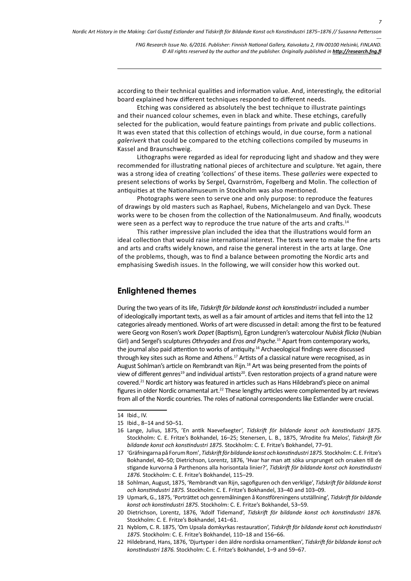according to their technical qualities and information value. And, interestingly, the editorial board explained how different techniques responded to different needs.

Etching was considered as absolutely the best technique to illustrate paintings and their nuanced colour schemes, even in black and white. These etchings, carefully selected for the publication, would feature paintings from private and public collections. It was even stated that this collection of etchings would, in due course, form a national *galeriverk* that could be compared to the etching collections compiled by museums in Kassel and Braunschweig.

Lithographs were regarded as ideal for reproducing light and shadow and they were recommended for illustrating national pieces of architecture and sculpture. Yet again, there was a strong idea of creating 'collections' of these items. These *galleries* were expected to present selections of works by Sergel, Qvarnström, Fogelberg and Molin. The collection of antiquities at the Nationalmuseum in Stockholm was also mentioned.

Photographs were seen to serve one and only purpose: to reproduce the features of drawings by old masters such as Raphael, Rubens, Michelangelo and van Dyck. These works were to be chosen from the collection of the Nationalmuseum. And finally, woodcuts were seen as a perfect way to reproduce the true nature of the arts and crafts.<sup>14</sup>

This rather impressive plan included the idea that the illustrations would form an ideal collection that would raise international interest. The texts were to make the fine arts and arts and crafts widely known, and raise the general interest in the arts at large. One of the problems, though, was to find a balance between promoting the Nordic arts and emphasising Swedish issues. In the following, we will consider how this worked out.

#### **Enlightened themes**

During the two years of its life, *Tidskrift för bildande konst och konstindustri* included a number of ideologically important texts, as well as a fair amount of articles and items that fell into the 12 categories already mentioned. Works of art were discussed in detail: among the first to be featured were Georg von Rosen's work *Dopet* (Baptism), Egron Lundgren's watercolour *Nubisk flicka* (Nubian Girl) and Sergel's sculptures *Othryades* and *Eros and Psyche.*15 Apart from contemporary works, the journal also paid attention to works of antiquity.<sup>16</sup> Archaeological findings were discussed through key sites such as Rome and Athens.<sup>17</sup> Artists of a classical nature were recognised, as in August Sohlman's article on Rembrandt van Rijn.<sup>18</sup> Art was being presented from the points of view of different genres<sup>19</sup> and individual artists<sup>20</sup>. Even restoration projects of a grand nature were covered.21 Nordic art history was featured in articles such as Hans Hildebrand's piece on animal figures in older Nordic ornamental art.<sup>22</sup> These lengthy articles were complemented by art reviews from all of the Nordic countries. The roles of national correspondents like Estlander were crucial.

- 17 'Gräfningarna på Forum Rom', *Tidskrift för bildande konst och konstindustri 1875.* Stockholm: C. E. Fritze's Bokhandel, 40–50; Dietrichson, Lorentz, 1876, 'Hvar har man att söka ursprunget och orsaken till de stigande kurvorna å Parthenons alla horisontala linier?', *Tidskrift för bildande konst och konstindustri 1876.* Stockholm: C. E. Fritze's Bokhandel, 115–29.
- 18 Sohlman, August, 1875, 'Rembrandt van Rijn, sagofiguren och den verklige', *Tidskrift för bildande konst och konstindustri 1875.* Stockholm: C. E. Fritze's Bokhandel, 33–40 and 103–09.
- 19 Upmark, G., 1875, 'Porträttet och genremålningen å Konstföreningens utställning', *Tidskrift för bildande konst och konstindustri 1875.* Stockholm: C. E. Fritze's Bokhandel, 53–59.
- 20 Dietrichson, Lorentz, 1876, 'Adolf Tidemand', *Tidskrift för bildande konst och konstindustri 1876.* Stockholm: C. E. Fritze's Bokhandel, 141–61.
- 21 Nyblom, C. R. 1875, 'Om Upsala domkyrkas restauration', *Tidskrift för bildande konst och konstindustri 1875.* Stockholm: C. E. Fritze's Bokhandel, 110–18 and 156–66.
- 22 Hildebrand, Hans, 1876, 'Djurtyper i den äldre nordiska ornamentiken', *Tidskrift för bildande konst och konstindustri 1876.* Stockholm: C. E. Fritze's Bokhandel, 1–9 and 59–67.

<sup>14</sup> Ibid., IV.

<sup>15</sup> Ibid., 8–14 and 50–51.

<sup>16</sup> Lange, Julius, 1875, 'En antik Naevefaegter', *Tidskrift för bildande konst och konstindustri 1875.* Stockholm: C. E. Fritze's Bokhandel, 16–25; Stenersen, L. B., 1875, 'Afrodite fra Melos', *Tidskrift för bildande konst och konstindustri 1875.* Stockholm: C. E. Fritze's Bokhandel, 77–91.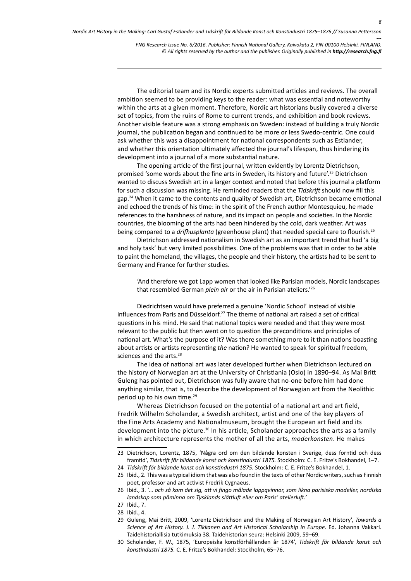The editorial team and its Nordic experts submitted articles and reviews. The overall ambition seemed to be providing keys to the reader: what was essential and noteworthy within the arts at a given moment. Therefore, Nordic art historians busily covered a diverse set of topics, from the ruins of Rome to current trends, and exhibition and book reviews. Another visible feature was a strong emphasis on Sweden: instead of building a truly Nordic journal, the publication began and continued to be more or less Swedo-centric. One could ask whether this was a disappointment for national correspondents such as Estlander, and whether this orientation ultimately affected the journal's lifespan, thus hindering its development into a journal of a more substantial nature.

The opening article of the first journal, written evidently by Lorentz Dietrichson, promised 'some words about the fine arts in Sweden, its history and future'.23 Dietrichson wanted to discuss Swedish art in a larger context and noted that before this journal a platform for such a discussion was missing. He reminded readers that the *Tidskrift* should now fill this gap.<sup>24</sup> When it came to the contents and quality of Swedish art, Dietrichson became emotional and echoed the trends of his time: in the spirit of the French author Montesquieu, he made references to the harshness of nature, and its impact on people and societies. In the Nordic countries, the blooming of the arts had been hindered by the cold, dark weather. Art was being compared to a *drifhusplanta* (greenhouse plant) that needed special care to flourish.25

Dietrichson addressed nationalism in Swedish art as an important trend that had 'a big and holy task' but very limited possibilities. One of the problems was that in order to be able to paint the homeland, the villages, the people and their history, the artists had to be sent to Germany and France for further studies.

'And therefore we got Lapp women that looked like Parisian models, Nordic landscapes that resembled German *plein air* or the air in Parisian ateliers.'26

Diedrichtsen would have preferred a genuine 'Nordic School' instead of visible influences from Paris and Düsseldorf.27 The theme of national art raised a set of critical questions in his mind. He said that national topics were needed and that they were most relevant to the public but then went on to question the preconditions and principles of national art. What's the purpose of it? Was there something more to it than nations boasting about artists or artists representing *the* nation? He wanted to speak for spiritual freedom, sciences and the arts.<sup>28</sup>

The idea of national art was later developed further when Dietrichson lectured on the history of Norwegian art at the University of Christiania (Oslo) in 1890–94. As Mai Britt Guleng has pointed out, Dietrichson was fully aware that no-one before him had done anything similar, that is, to describe the development of Norwegian art from the Neolithic period up to his own time.<sup>29</sup>

Whereas Dietrichson focused on the potential of a national art and art field, Fredrik Wilhelm Scholander, a Swedish architect, artist and one of the key players of the Fine Arts Academy and Nationalmuseum, brought the European art field and its development into the picture.<sup>30</sup> In his article, Scholander approaches the arts as a family in which architecture represents the mother of all the arts, *moderkonsten*. He makes

- 25 Ibid., 2. This was a typical idiom that was also found in the texts of other Nordic writers, such as Finnish poet, professor and art activist Fredrik Cygnaeus.
- 26 Ibid., 3. '*… och så kom det sig, att vi fingo målade lappqvinnor, som likna parisiska modeller, nordiska landskap som påminna om Tysklands slättluft eller om Paris' atelierluft.'*
- 27 Ibid., 7.
- 28 Ibid., 4.
- 29 Guleng, Mai Britt, 2009, 'Lorentz Dietrichson and the Making of Norwegian Art History', *Towards a Science of Art History. J. J. Tikkanen and Art Historical Scholarship in Europe.* Ed. Johanna Vakkari. Taidehistoriallisia tutkimuksia 38. Taidehistorian seura: Helsinki 2009, 59–69.
- 30 Scholander, F. W., 1875, 'Europeiska konstförhållanden år 1874', *Tidskrift för bildande konst och konstindustri 1875.* C. E. Fritze's Bokhandel: Stockholm, 65–76.

<sup>23</sup> Dietrichson, Lorentz, 1875, 'Några ord om den bildande konsten i Sverige, dess forntid och dess framtid', *Tidskrift för bildande konst och konstindustri 1875.* Stockholm: C. E. Fritze's Bokhandel, 1–7.

<sup>24</sup> *Tidskrift för bildande konst och konstindustri 1875.* Stockholm: C. E. Fritze's Bokhandel, 1.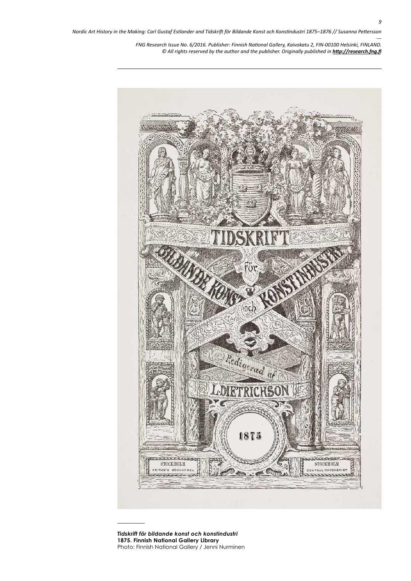

*Tidskrift för bildande konst och konstindustri*  **1875. Finnish National Gallery Library** Photo: Finnish National Gallery / Jenni Nurminen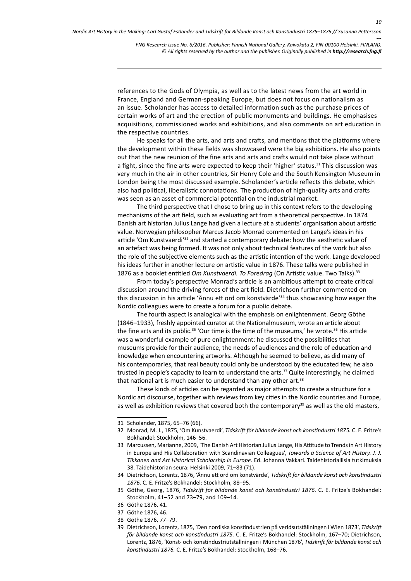references to the Gods of Olympia, as well as to the latest news from the art world in France, England and German-speaking Europe, but does not focus on nationalism as an issue. Scholander has access to detailed information such as the purchase prices of certain works of art and the erection of public monuments and buildings. He emphasises acquisitions, commissioned works and exhibitions, and also comments on art education in the respective countries.

He speaks for all the arts, and arts and crafts, and mentions that the platforms where the development within these fields was showcased were the big exhibitions. He also points out that the new reunion of the fine arts and arts and crafts would not take place without a fight, since the fine arts were expected to keep their 'higher' status.<sup>31</sup> This discussion was very much in the air in other countries, Sir Henry Cole and the South Kensington Museum in London being the most discussed example. Scholander's article reflects this debate, which also had political, liberalistic connotations. The production of high-quality arts and crafts was seen as an asset of commercial potential on the industrial market.

The third perspective that I chose to bring up in this context refers to the developing mechanisms of the art field, such as evaluating art from a theoretical perspective. In 1874 Danish art historian Julius Lange had given a lecture at a students' organisation about artistic value. Norwegian philosopher Marcus Jacob Monrad commented on Lange's ideas in his article 'Om Kunstvaerdi'32 and started a contemporary debate: how the aesthetic value of an artefact was being formed. It was not only about technical features of the work but also the role of the subjective elements such as the artistic intention of the work. Lange developed his ideas further in another lecture on artistic value in 1876. These talks were published in 1876 as a booklet entitled *Om Kunstvaerdi. To Foredrag* (On Artistic value. Two Talks).<sup>33</sup>

From today's perspective Monrad's article is an ambitious attempt to create critical discussion around the driving forces of the art field. Dietrichson further commented on this discussion in his article 'Ännu ett ord om konstvärde'34 thus showcasing how eager the Nordic colleagues were to create a forum for a public debate.

The fourth aspect is analogical with the emphasis on enlightenment. Georg Göthe (1846–1933), freshly appointed curator at the Nationalmuseum, wrote an article about the fine arts and its public.<sup>35</sup> 'Our time is the time of the museums,' he wrote.<sup>36</sup> His article was a wonderful example of pure enlightenment: he discussed the possibilities that museums provide for their audience, the needs of audiences and the role of education and knowledge when encountering artworks. Although he seemed to believe, as did many of his contemporaries, that real beauty could only be understood by the educated few, he also trusted in people's capacity to learn to understand the arts.<sup>37</sup> Quite interestingly, he claimed that national art is much easier to understand than any other art.<sup>38</sup>

These kinds of articles can be regarded as major attempts to create a structure for a Nordic art discourse, together with reviews from key cities in the Nordic countries and Europe, as well as exhibition reviews that covered both the contemporary<sup>39</sup> as well as the old masters,

- 37 Göthe 1876, 46.
- 38 Göthe 1876, 77–79.

<sup>31</sup> Scholander, 1875, 65–76 (66).

<sup>32</sup> Monrad, M. J., 1875, 'Om Kunstvaerdi', *Tidskrift för bildande konst och konstindustri 1875.* C. E. Fritze's Bokhandel: Stockholm, 146–56.

<sup>33</sup> Marcussen, Marianne, 2009, 'The Danish Art Historian Julius Lange, His Attitude to Trends in Art History in Europe and His Collaboration with Scandinavian Colleagues', *Towards a Science of Art History. J. J. Tikkanen and Art Historical Scholarship in Europe.* Ed. Johanna Vakkari. Taidehistoriallisia tutkimuksia 38. Taidehistorian seura: Helsinki 2009, 71–83 (71).

<sup>34</sup> Dietrichson, Lorentz, 1876, 'Ännu ett ord om konstvärde', *Tidskrift för bildande konst och konstindustri 1876.* C. E. Fritze's Bokhandel: Stockholm, 88–95.

<sup>35</sup> Göthe, Georg, 1876, *Tidskrift för bildande konst och konstindustri 1876.* C. E. Fritze's Bokhandel: Stockholm, 41–52 and 73–79, and 109–14.

<sup>36</sup> Göthe 1876, 41.

<sup>39</sup> Dietrichson, Lorentz, 1875, 'Den nordiska konstindustrien på verldsutställningen i Wien 1873', *Tidskrift för bildande konst och konstindustri 1875.* C. E. Fritze's Bokhandel: Stockholm, 167–70; Dietrichson, Lorentz, 1876, 'Konst- och konstindustriutställningen i München 1876', *Tidskrift för bildande konst och konstindustri 1876.* C. E. Fritze's Bokhandel: Stockholm, 168–76.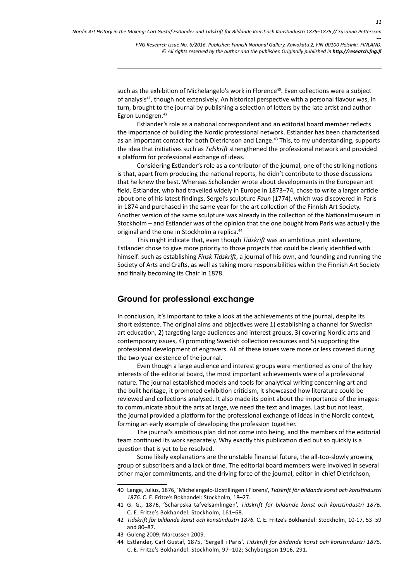such as the exhibition of Michelangelo's work in Florence<sup>40</sup>. Even collections were a subject of analysis<sup>41</sup>, though not extensively. An historical perspective with a personal flavour was, in turn, brought to the journal by publishing a selection of letters by the late artist and author Egron Lundgren.<sup>42</sup>

Estlander's role as a national correspondent and an editorial board member reflects the importance of building the Nordic professional network. Estlander has been characterised as an important contact for both Dietrichson and Lange.<sup>43</sup> This, to my understanding, supports the idea that initiatives such as *Tidskrift* strengthened the professional network and provided a platform for professional exchange of ideas.

Considering Estlander's role as a contributor of the journal, one of the striking notions is that, apart from producing the national reports, he didn't contribute to those discussions that he knew the best. Whereas Scholander wrote about developments in the European art field, Estlander, who had travelled widely in Europe in 1873–74, chose to write a larger article about one of his latest findings, Sergel's sculpture *Faun* (1774), which was discovered in Paris in 1874 and purchased in the same year for the art collection of the Finnish Art Society. Another version of the same sculpture was already in the collection of the Nationalmuseum in Stockholm – and Estlander was of the opinion that the one bought from Paris was actually the original and the one in Stockholm a replica.44

This might indicate that, even though *Tidskrift* was an ambitious joint adventure, Estlander chose to give more priority to those projects that could be clearly identified with himself: such as establishing *Finsk Tidskrift*, a journal of his own, and founding and running the Society of Arts and Crafts, as well as taking more responsibilities within the Finnish Art Society and finally becoming its Chair in 1878.

#### **Ground for professional exchange**

In conclusion, it's important to take a look at the achievements of the journal, despite its short existence. The original aims and objectives were 1) establishing a channel for Swedish art education, 2) targeting large audiences and interest groups, 3) covering Nordic arts and contemporary issues, 4) promoting Swedish collection resources and 5) supporting the professional development of engravers. All of these issues were more or less covered during the two-year existence of the journal.

Even though a large audience and interest groups were mentioned as one of the key interests of the editorial board, the most important achievements were of a professional nature. The journal established models and tools for analytical writing concerning art and the built heritage, it promoted exhibition criticism, it showcased how literature could be reviewed and collections analysed. It also made its point about the importance of the images: to communicate about the arts at large, we need the text and images. Last but not least, the journal provided a platform for the professional exchange of ideas in the Nordic context, forming an early example of developing the profession together.

The journal's ambitious plan did not come into being, and the members of the editorial team continued its work separately. Why exactly this publication died out so quickly is a question that is yet to be resolved.

Some likely explanations are the unstable financial future, the all-too-slowly growing group of subscribers and a lack of time. The editorial board members were involved in several other major commitments, and the driving force of the journal, editor-in-chief Dietrichson,

<sup>40</sup> Lange, Julius, 1876, 'Michelangelo-Udstillingen i Florens', *Tidskrift för bildande konst och konstindustri 1876.* C. E. Fritze's Bokhandel: Stockholm, 18–27.

<sup>41</sup> G. G., 1876, 'Scharpska tafvelsamlingen', *Tidskrift för bildande konst och konstindustri 1876.* C. E. Fritze's Bokhandel: Stockholm, 161–68.

<sup>42</sup> *Tidskrift för bildande konst och konstindustri 1876.* C. E. Fritze's Bokhandel: Stockholm, 10-17, 53–59 and 80–87.

<sup>43</sup> Guleng 2009; Marcussen 2009.

<sup>44</sup> Estlander, Carl Gustaf, 1875, 'Sergell i Paris', *Tidskrift för bildande konst och konstindustri 1875.* C. E. Fritze's Bokhandel: Stockholm, 97–102; Schybergson 1916, 291.